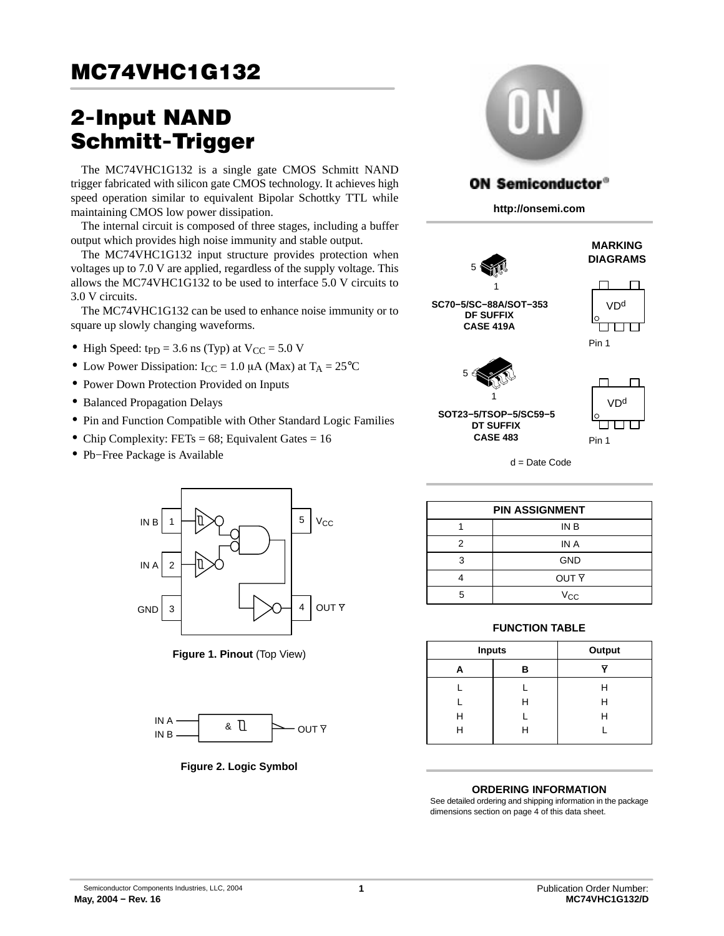# **MC74VHC1G132** <u>MC24 VHC1G1322</u>

# 2−Input NAND<br>Schmitt-Trigger

The MC74VHC1G132 is a single gate CMOS Schmitt NAND trigger fabricated with silicon gate CMOS technology. It achieves high speed operation similar to equivalent Bipolar Schottky TTL while maintaining CMOS low power dissipation.

The internal circuit is composed of three stages, including a buffer output which provides high noise immunity and stable output.

The MC74VHC1G132 input structure provides protection when voltages up to 7.0 V are applied, regardless of the supply voltage. This allows the MC74VHC1G132 to be used to interface 5.0 V circuits to 3.0 V circuits.

The MC74VHC1G132 can be used to enhance noise immunity or to square up slowly changing waveforms.

- High Speed:  $tp<sub>D</sub> = 3.6$  ns (Typ) at  $V<sub>CC</sub> = 5.0$  V
- Low Power Dissipation:  $I_{CC} = 1.0 \mu A$  (Max) at  $T_A = 25^{\circ}C$
- Power Down Protection Provided on Inputs
- Balanced Propagation Delays
- Pin and Function Compatible with Other Standard Logic Families
- Chip Complexity: FETs =  $68$ ; Equivalent Gates =  $16$
- Pb−Free Package is Available



**Figure 1. Pinout** (Top View)



**Figure 2. Logic Symbol**



# **ON Semiconductor®**

**http://onsemi.com**



**MARKING DIAGRAMS**

VD<sup>d</sup>

**SC70−5/SC−88A/SOT−353 DF SUFFIX CASE 419A**

5



**SOT23−5/TSOP−5/SC59−5 DT SUFFIX CASE 483** 1



d = Date Code

| <b>PIN ASSIGNMENT</b> |                  |  |  |  |  |  |  |  |
|-----------------------|------------------|--|--|--|--|--|--|--|
|                       | IN B             |  |  |  |  |  |  |  |
| 2                     | IN A             |  |  |  |  |  |  |  |
| 3                     | <b>GND</b>       |  |  |  |  |  |  |  |
|                       | OUT <sub>Y</sub> |  |  |  |  |  |  |  |
| г,                    | $V_{CC}$         |  |  |  |  |  |  |  |

# **FUNCTION TABLE**

| <b>Inputs</b> |   | Output |
|---------------|---|--------|
| А             | в |        |
|               |   | н      |
|               | н | н      |
| Н             |   | н      |
| н             | н |        |

# **ORDERING INFORMATION**

See detailed ordering and shipping information in the package dimensions section on page [4](#page-3-0) of this data sheet.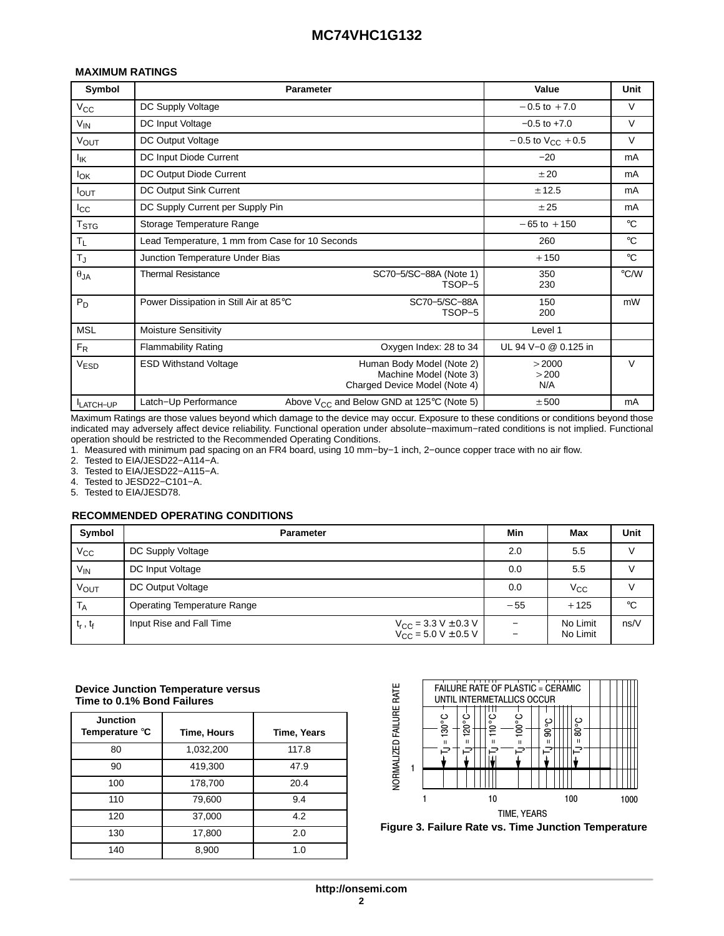# **MC74VHC1G132**

# **MAXIMUM RATINGS**

| Symbol                 | <b>Parameter</b>                                |                                                                                      | Value                    | Unit          |
|------------------------|-------------------------------------------------|--------------------------------------------------------------------------------------|--------------------------|---------------|
| $V_{\rm CC}$           | DC Supply Voltage                               |                                                                                      | $-0.5$ to $+7.0$         | $\vee$        |
| $V_{IN}$               | DC Input Voltage                                |                                                                                      | $-0.5$ to $+7.0$         | $\vee$        |
| <b>VOUT</b>            | DC Output Voltage                               |                                                                                      | $-0.5$ to $V_{CC}$ + 0.5 | $\vee$        |
| <sup>l</sup> ik        | DC Input Diode Current                          |                                                                                      | $-20$                    | mA            |
| <b>I</b> <sub>OK</sub> | DC Output Diode Current                         |                                                                                      | ±20                      | mA            |
| IOUT                   | DC Output Sink Current                          |                                                                                      | ± 12.5                   | mA            |
| $_{\rm lcc}$           | DC Supply Current per Supply Pin                |                                                                                      | ±25                      | mA            |
| $T_{\text{STG}}$       | Storage Temperature Range                       |                                                                                      | $-65$ to $+150$          | $^{\circ}C$   |
| $T_{L}$                | Lead Temperature, 1 mm from Case for 10 Seconds |                                                                                      | 260                      | $^{\circ}C$   |
| $T_J$                  | Junction Temperature Under Bias                 |                                                                                      | $+150$                   | $^{\circ}C$   |
| $\theta_{JA}$          | <b>Thermal Resistance</b>                       | SC70-5/SC-88A (Note 1)<br>TSOP-5                                                     | 350<br>230               | $\degree$ C/W |
| $P_D$                  | Power Dissipation in Still Air at 85°C          | SC70-5/SC-88A<br>TSOP-5                                                              | 150<br>200               | mW            |
| <b>MSL</b>             | <b>Moisture Sensitivity</b>                     |                                                                                      | Level 1                  |               |
| $F_R$                  | <b>Flammability Rating</b>                      | Oxygen Index: 28 to 34                                                               | UL 94 V-0 @ 0.125 in     |               |
| <b>VESD</b>            | <b>ESD Withstand Voltage</b>                    | Human Body Model (Note 2)<br>Machine Model (Note 3)<br>Charged Device Model (Note 4) | >2000<br>>200<br>N/A     | V             |
| <b>LATCH-UP</b>        | Latch-Up Performance                            | Above $V_{CC}$ and Below GND at 125°C (Note 5)                                       | ± 500                    | mA            |

Maximum Ratings are those values beyond which damage to the device may occur. Exposure to these conditions or conditions beyond those indicated may adversely affect device reliability. Functional operation under absolute−maximum−rated conditions is not implied. Functional operation should be restricted to the Recommended Operating Conditions.

1. Measured with minimum pad spacing on an FR4 board, using 10 mm−by−1 inch, 2−ounce copper trace with no air flow.

Tested to EIA/JESD22-A114-A.

3. Tested to EIA/JESD22−A115−A.

4. Tested to JESD22−C101−A.

5. Tested to EIA/JESD78.

### **RECOMMENDED OPERATING CONDITIONS**

| Symbol          | <b>Parameter</b>                   |                                                                     | Min   | Max                  | Unit        |
|-----------------|------------------------------------|---------------------------------------------------------------------|-------|----------------------|-------------|
| $V_{\rm CC}$    | DC Supply Voltage                  |                                                                     | 2.0   | 5.5                  |             |
| V <sub>IN</sub> | DC Input Voltage                   |                                                                     | 0.0   | 5.5                  |             |
| VOUT            | DC Output Voltage                  |                                                                     | 0.0   | $V_{\rm CC}$         |             |
| <b>TA</b>       | <b>Operating Temperature Range</b> |                                                                     | $-55$ | $+125$               | $^{\circ}C$ |
| $t_r$ , $t_f$   | Input Rise and Fall Time           | $V_{CC}$ = 3.3 V $\pm$ 0.3 V<br>V <sub>CC</sub> = 5.0 V $\pm$ 0.5 V |       | No Limit<br>No Limit | ns/V        |

### **Device Junction Temperature versus Time to 0.1% Bond Failures**

| <b>Junction</b><br>Temperature °C | Time, Hours | Time, Years |
|-----------------------------------|-------------|-------------|
| 80                                | 1,032,200   | 117.8       |
| 90                                | 419,300     | 47.9        |
| 100                               | 178,700     | 20.4        |
| 110                               | 79,600      | 9.4         |
| 120                               | 37,000      | 4.2         |
| 130                               | 17,800      | 2.0         |
| 140                               | 8,900       | 1.0         |



**Figure 3. Failure Rate vs. Time Junction Temperature**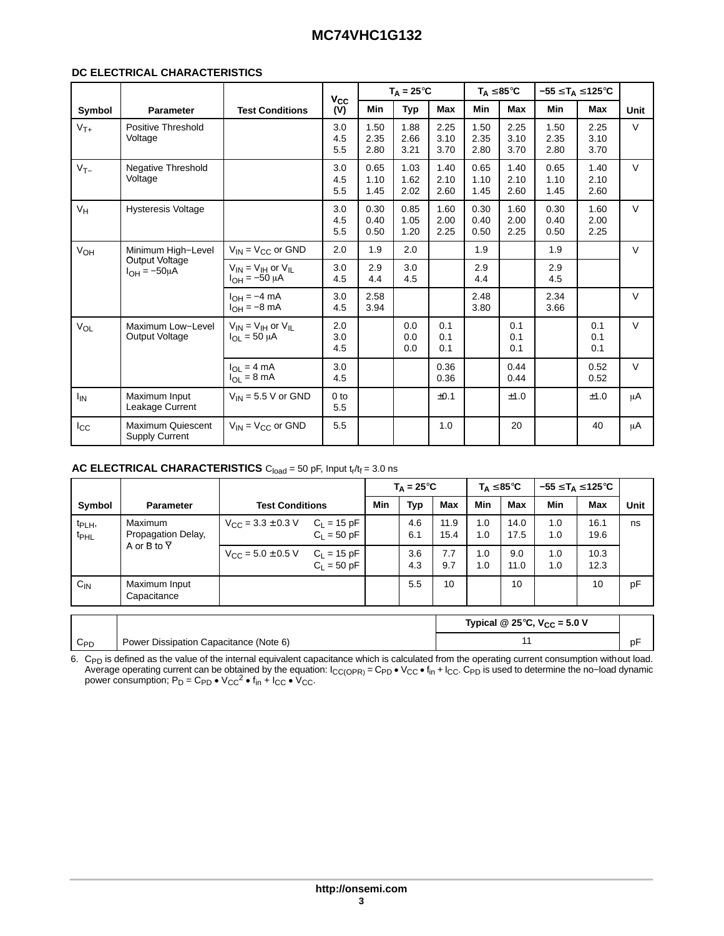# **MC74VHC1G132**

# **DC ELECTRICAL CHARACTERISTICS**

|                       |                                            |                                                       | $v_{\rm cc}$           |                      | $T_A = 25^{\circ}C$  |                      |                      | $T_A \leq 85^{\circ}C$ | $-55 \leq T_A \leq 125^{\circ}C$ |                      |        |
|-----------------------|--------------------------------------------|-------------------------------------------------------|------------------------|----------------------|----------------------|----------------------|----------------------|------------------------|----------------------------------|----------------------|--------|
| Symbol                | <b>Parameter</b>                           | <b>Test Conditions</b>                                | (V)                    | <b>Min</b>           | <b>Typ</b>           | Max                  | <b>Min</b>           | <b>Max</b>             | Min                              | <b>Max</b>           | Unit   |
| $V_{T+}$              | Positive Threshold<br>Voltage              |                                                       | 3.0<br>4.5<br>5.5      | 1.50<br>2.35<br>2.80 | 1.88<br>2.66<br>3.21 | 2.25<br>3.10<br>3.70 | 1.50<br>2.35<br>2.80 | 2.25<br>3.10<br>3.70   | 1.50<br>2.35<br>2.80             | 2.25<br>3.10<br>3.70 | $\vee$ |
| $V_{T-}$              | Negative Threshold<br>Voltage              |                                                       | 3.0<br>4.5<br>5.5      | 0.65<br>1.10<br>1.45 | 1.03<br>1.62<br>2.02 | 1.40<br>2.10<br>2.60 | 0.65<br>1.10<br>1.45 | 1.40<br>2.10<br>2.60   | 0.65<br>1.10<br>1.45             | 1.40<br>2.10<br>2.60 | $\vee$ |
| $V_H$                 | <b>Hysteresis Voltage</b>                  |                                                       | 3.0<br>4.5<br>5.5      | 0.30<br>0.40<br>0.50 | 0.85<br>1.05<br>1.20 | 1.60<br>2.00<br>2.25 | 0.30<br>0.40<br>0.50 | 1.60<br>2.00<br>2.25   | 0.30<br>0.40<br>0.50             | 1.60<br>2.00<br>2.25 | $\vee$ |
| VOH                   | Minimum High-Level                         | $V_{IN}$ = $V_{CC}$ or GND                            | 2.0                    | 1.9                  | 2.0                  |                      | 1.9                  |                        | 1.9                              |                      | $\vee$ |
|                       | Output Voltage<br>$I_{OH} = -50 \mu A$     | $V_{IN} = V_{IH}$ or $V_{IL}$<br>$I_{OH} = -50 \mu A$ | 3.0<br>4.5             | 2.9<br>4.4           | 3.0<br>4.5           |                      | 2.9<br>4.4           |                        | 2.9<br>4.5                       |                      |        |
|                       |                                            | $I_{OH} = -4$ mA<br>$I_{OH} = -8$ mA                  | 3.0<br>4.5             | 2.58<br>3.94         |                      |                      | 2.48<br>3.80         |                        | 2.34<br>3.66                     |                      | $\vee$ |
| VOL                   | Maximum Low-Level<br><b>Output Voltage</b> | $V_{IN} = V_{IH}$ or $V_{IL}$<br>$I_{OL} = 50 \mu A$  | 2.0<br>3.0<br>4.5      |                      | 0.0<br>0.0<br>0.0    | 0.1<br>0.1<br>0.1    |                      | 0.1<br>0.1<br>0.1      |                                  | 0.1<br>0.1<br>0.1    | $\vee$ |
|                       |                                            | $I_{OL} = 4 mA$<br>$I_{\Omega I}$ = 8 mA              | 3.0<br>4.5             |                      |                      | 0.36<br>0.36         |                      | 0.44<br>0.44           |                                  | 0.52<br>0.52         | $\vee$ |
| <b>I<sub>IN</sub></b> | Maximum Input<br>Leakage Current           | $V_{IN}$ = 5.5 V or GND                               | 0 <sub>to</sub><br>5.5 |                      |                      | ±0.1                 |                      | ±1.0                   |                                  | ±1.0                 | μA     |
| $I_{\rm CC}$          | Maximum Quiescent<br><b>Supply Current</b> | $V_{IN}$ = $V_{CC}$ or GND                            | 5.5                    |                      |                      | 1.0                  |                      | 20                     |                                  | 40                   | μA     |

|                                        |                               |                                         |                                  |     | $T_A = 25^{\circ}C$ |              |            | $\mathsf{T}_\mathsf{A} \leq 85^\circ \mathsf{C}$ |            | $-55 \leq T_A \leq 125^{\circ}C$ | Unit |
|----------------------------------------|-------------------------------|-----------------------------------------|----------------------------------|-----|---------------------|--------------|------------|--------------------------------------------------|------------|----------------------------------|------|
| Symbol                                 | <b>Parameter</b>              | <b>Test Conditions</b>                  |                                  | Min | Typ                 | Max          | Min        | Max                                              | Min        | Max                              |      |
| t <sub>PLH</sub> ,<br>t <sub>PHL</sub> | Maximum<br>Propagation Delay, | $V_{\text{CC}} = 3.3 \pm 0.3 \text{ V}$ | $C_L = 15 pF$<br>$C_1 = 50 pF$   |     | 4.6<br>6.1          | 11.9<br>15.4 | 1.0<br>1.0 | 14.0<br>17.5                                     | 1.0<br>1.0 | 16.1<br>19.6                     | ns   |
|                                        | A or B to $\overline{Y}$      | $V_{CC}$ = 5.0 $\pm$ 0.5 V              | $C_L = 15 pF$<br>$C_{L} = 50$ pF |     | 3.6<br>4.3          | 7.7<br>9.7   | 1.0<br>1.0 | 9.0<br>11.0                                      | 1.0<br>1.0 | 10.3<br>12.3                     |      |
| $C_{\text{IN}}$                        | Maximum Input<br>Capacitance  |                                         |                                  |     | 5.5                 | 10           |            | 10                                               |            | 10                               | pF   |

6. C<sub>PD</sub> is defined as the value of the internal equivalent capacitance which is calculated from the operating current consumption without load.<br>Average operating current can be obtained by the equation: I<sub>CC(OPR)</sub> = C<sub>PD</sub> power consumption;  $P_D = C_{PD} \cdot V_{CC}^2 \cdot f_{in} + I_{CC} \cdot V_{CC}$ .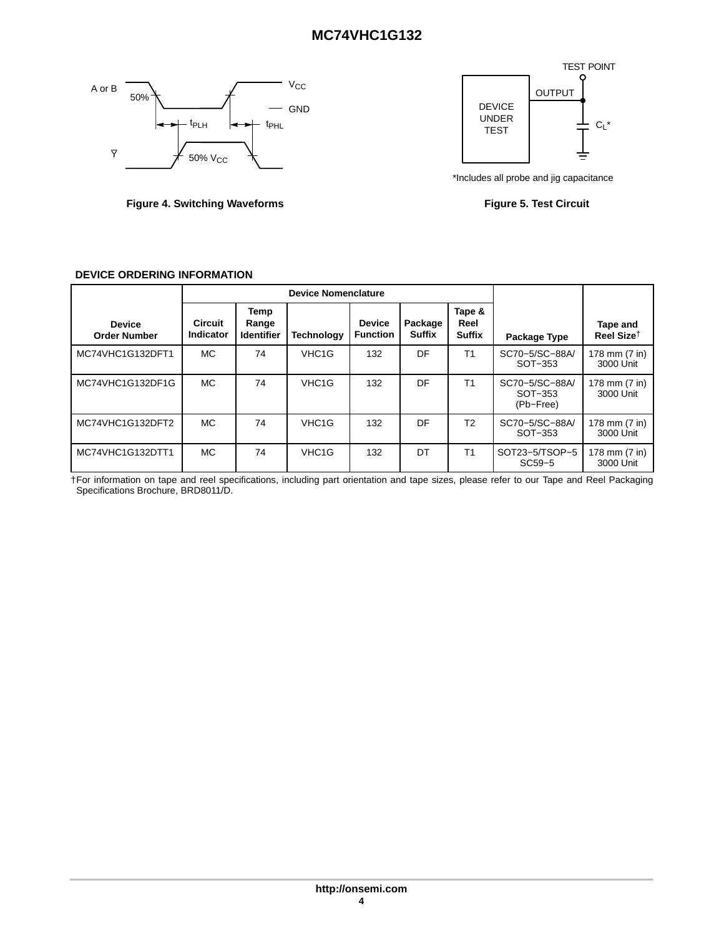# **MC74VHC1G132**

<span id="page-3-0"></span>



Figure 4. Switching Waveforms **Figure 4. Switching Waveforms** Figure 5. Test Circuit



|  | <b>DEVICE ORDERING INFORMATION</b> |
|--|------------------------------------|
|--|------------------------------------|

| <b>Device</b><br><b>Order Number</b> | <b>Circuit</b><br><b>Indicator</b> | Temp<br>Range<br><b>Identifier</b> | <b>Technology</b>  | <b>Device</b><br><b>Function</b> | Package<br><b>Suffix</b> | Tape &<br>Reel<br><b>Suffix</b> | Package Type                           | Tape and<br>Reel Size <sup><math>\dagger</math></sup> |
|--------------------------------------|------------------------------------|------------------------------------|--------------------|----------------------------------|--------------------------|---------------------------------|----------------------------------------|-------------------------------------------------------|
| MC74VHC1G132DFT1                     | <b>MC</b>                          | 74                                 | VHC <sub>1</sub> G | 132                              | DF                       | T1                              | SC70-5/SC-88A/<br>SOT-353              | 178 mm (7 in)<br>3000 Unit                            |
| MC74VHC1G132DF1G                     | MC.                                | 74                                 | VHC <sub>1</sub> G | 132                              | DF                       | T1                              | SC70-5/SC-88A/<br>SOT-353<br>(Pb-Free) | 178 mm (7 in)<br>3000 Unit                            |
| MC74VHC1G132DFT2                     | MC.                                | 74                                 | VHC <sub>1</sub> G | 132                              | DF                       | T <sub>2</sub>                  | SC70-5/SC-88A/<br>SOT-353              | 178 mm (7 in)<br>3000 Unit                            |
| MC74VHC1G132DTT1                     | MC.                                | 74                                 | VHC <sub>1</sub> G | 132                              | DT                       | T <sub>1</sub>                  | SOT23-5/TSOP-5<br>$SC59-5$             | 178 mm (7 in)<br>3000 Unit                            |

†For information on tape and reel specifications, including part orientation and tape sizes, please refer to our Tape and Reel Packaging Specifications Brochure, BRD8011/D.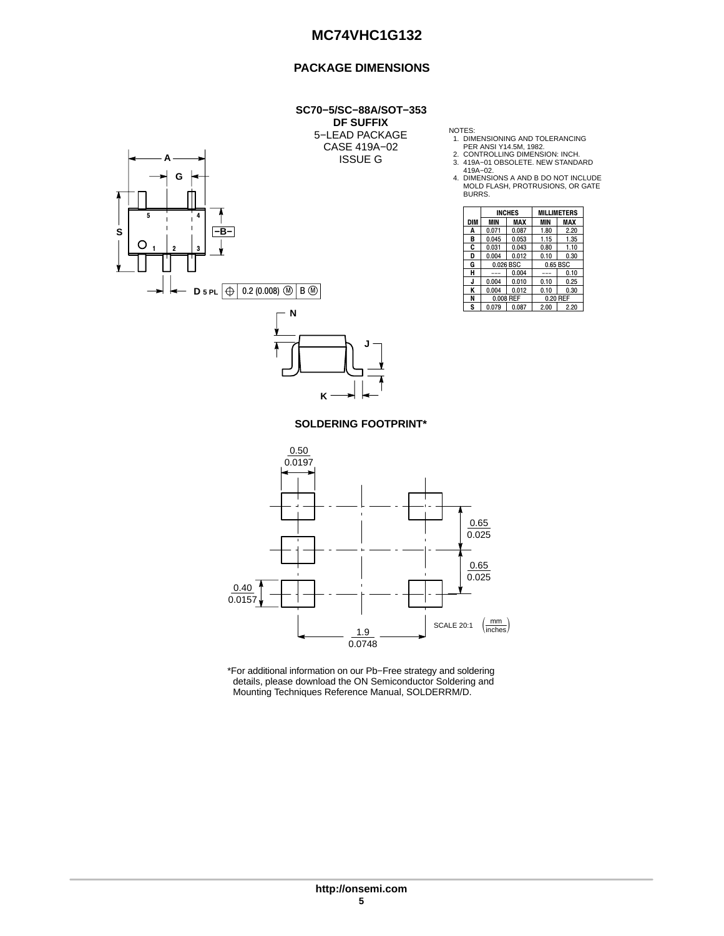# **PACKAGE DIMENSIONS**

### **SC70−5/SC−88A/SOT−353 DF SUFFIX** 5−LEAD PACKAGE CASE 419A−02

ISSUE G



NOTES:<br>
1. DIMENSIONING AND TOLERANCING<br>
2. CONTROLLING DIMENSION: INCH.<br>
3. 419A−02.<br>
419A−02.<br>
4. DIMENSIONS A AND B DO NOT INCLUDE<br>
MOLD FLASH, PROTRUSIONS, OR GATE<br>
BURRS.

|            |           | <b>INCHES</b> |          | <b>MILLIMETERS</b> |  |  |
|------------|-----------|---------------|----------|--------------------|--|--|
| <b>DIM</b> | MIN       | MAX           | MIN      | <b>MAX</b>         |  |  |
| A          | 0.071     | 0.087         | 1.80     | 2.20               |  |  |
| B          | 0.045     | 0.053         | 1.15     | 1.35               |  |  |
| C          | 0.031     | 0.043         | 0.80     | 1.10               |  |  |
| D          | 0.004     | 0.012         | 0.10     | 0.30               |  |  |
| G          | 0.026 BSC |               | 0.65 BSC |                    |  |  |
| н          |           | 0.004         | ---      | 0.10               |  |  |
|            | 0.004     | 0.010         | 0.10     | 0.25               |  |  |
| ĸ          | 0.004     | 0.012         | 0.10     | 0.30               |  |  |
| N          |           | 0.008 REF     | 0.20 REF |                    |  |  |
| s          | 0.079     | 0.087         | 2.00     | 2.20               |  |  |

## **SOLDERING FOOTPRINT\***

**K**

**J**



\*For additional information on our Pb−Free strategy and soldering details, please download the ON Semiconductor Soldering and Mounting Techniques Reference Manual, SOLDERRM/D.